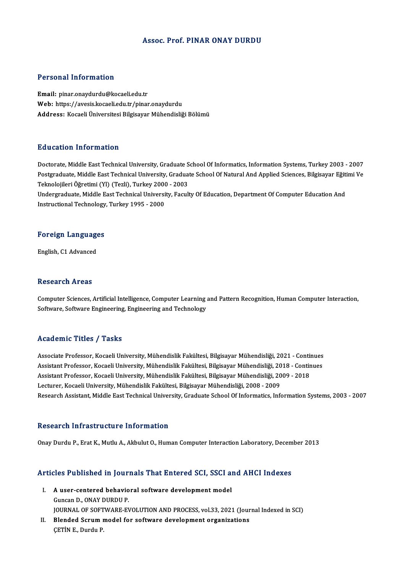### Assoc. Prof. PINAR ONAY DURDU

### Personal Information

Email: pinar.onaydurdu@kocaeli.edu.tr Web: https://avesis.kocaeli.edu.tr/pinar.onaydurdu Address: Kocaeli Üniversitesi Bilgisayar Mühendisliği Bölümü

### Education Information

Doctorate, Middle East Technical University, Graduate School Of Informatics, Information Systems, Turkey 2003 - 2007 Pu u cucron Timon inucron<br>Doctorate, Middle East Technical University, Graduate School Of Informatics, Information Systems, Turkey 2003 - 2007<br>Postgraduate, Middle East Technical University, Graduate School Of Natural And Doctorate, Middle East Technical University, Graduate S<br>Postgraduate, Middle East Technical University, Gradua<br>Teknolojileri Öğretimi (Yl) (Tezli), Turkey 2000 - 2003<br>Undergraduate Middle Fast Technical University, Fasul Postgraduate, Middle East Technical University, Graduate School Of Natural And Applied Sciences, Bilgisayar Eğiti<br>Teknolojileri Öğretimi (Yl) (Tezli), Turkey 2000 - 2003<br>Undergraduate, Middle East Technical University, Fac Teknolojileri Öğretimi (Yl) (Tezli), Turkey 2000 - 2003<br>Undergraduate, Middle East Technical University, Faculty Of Education, Department Of Computer Education And<br>Instructional Technology, Turkey 1995 - 2000

## nstructional rechnology<br>Foreign Languages F<mark>oreign Languag</mark>e<br>English, C1 Advanced

English, C1 Advanced<br>Research Areas

Computer Sciences, Artificial Intelligence, Computer Learning and Pattern Recognition, Human Computer Interaction, Software, Software Engineering, Engineering and Technology

### Academic Titles / Tasks

Academic Titles / Tasks<br>Associate Professor, Kocaeli University, Mühendislik Fakültesi, Bilgisayar Mühendisliği, 2021 - Continues<br>Assistant Professor, Kosaeli University, Mühendislik Fakültesi, Bilgisayar Mühendisliği, 201 Associate Professor, Kocaeli University, Mühendislik Fakültesi, Bilgisayar Mühendisliği, 2021 - Continues<br>Assistant Professor, Kocaeli University, Mühendislik Fakültesi, Bilgisayar Mühendisliği, 2018 - Continues<br>Assistant Associate Professor, Kocaeli University, Mühendislik Fakültesi, Bilgisayar Mühendisliği, 2021 - Contin<br>Assistant Professor, Kocaeli University, Mühendislik Fakültesi, Bilgisayar Mühendisliği, 2018 - Contin<br>Assistant Profes Assistant Professor, Kocaeli University, Mühendislik Fakültesi, Bilgisayar Mühendisliği, 20<br>Assistant Professor, Kocaeli University, Mühendislik Fakültesi, Bilgisayar Mühendisliği, 20<br>Lecturer, Kocaeli University, Mühendis Lecturer, Kocaeli University, Mühendislik Fakültesi, Bilgisayar Mühendisliği, 2008 - 2009<br>Research Assistant, Middle East Technical University, Graduate School Of Informatics, Information Systems, 2003 - 2007

### Research Infrastructure Information

OnayDurduP.,EratK.,MutluA.,AkbulutO.,HumanComputer InteractionLaboratory,December 2013

# onay Durdu P., Erat K., Mudu A., Akbulut O., Human Computer Interaction Laboratory, Decem<br>Articles Published in Journals That Entered SCI, SSCI and AHCI Indexes

- rticles Published in Journals That Entered SCI, SSCI an<br>I. A user-centered behavioral software development model<br>Cungar D. ONAV DUPDU P I. A user-centered behavioral software development model<br>Guncan D., ONAY DURDU P. A user-centered behavioral software development model<br>Guncan D., ONAY DURDU P.<br>JOURNAL OF SOFTWARE-EVOLUTION AND PROCESS, vol.33, 2021 (Journal Indexed in SCI)<br>Planded Senum model for software development excepirations Guncan D., ONAY DURDU P.<br>JOURNAL OF SOFTWARE-EVOLUTION AND PROCESS, vol.33, 2021 (Jour<br>II. Blended Scrum model for software development organizations<br>CETIN E. Durdu P.
- JOURNAL OF SOFT<br>Blended Scrum 1<br>ÇETİN E., Durdu P.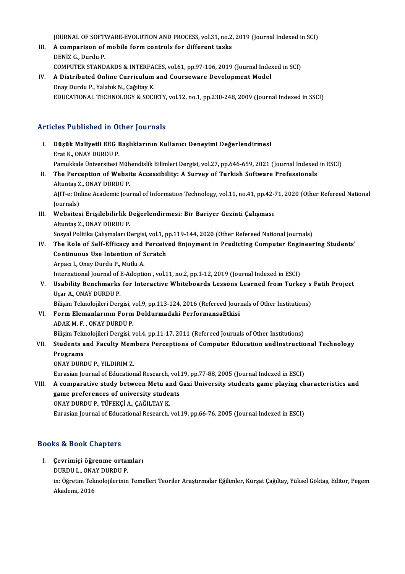JOURNAL OF SOFTWARE-EVOLUTION AND PROCESS, vol.31, no.2, 2019 (Journal Indexed in SCI)<br>A comparison of mobile form controls for different tecks

- JOURNAL OF SOFTWARE-EVOLUTION AND PROCESS, vol.31, no.2,<br>III. A comparison of mobile form controls for different tasks **JOURNAL OF SOFT<br>A comparison of<br>DENİZ G., Durdu P.<br>COMPUTER STAND** A comparison of mobile form controls for different tasks<br>DENİZ G., Durdu P.<br>COMPUTER STANDARDS & INTERFACES, vol.61, pp.97-106, 2019 (Journal Indexed in SCI)<br>A Distributed Online Gunnisulum and Counseysare Development Mode DENİZ G., Durdu P.<br>COMPUTER STANDARDS & INTERFACES, vol.61, pp.97-106, 2019 (Journal Index<br>IV. A Distributed Online Curriculum and Courseware Development Model<br>Onay Durdu P., Yalabık N., Çağıltay K.
- COMPUTER STANDARDS & INTERFA<br>A Distributed Online Curriculum<br>Onay Durdu P., Yalabık N., Çağıltay K.<br>EDUCATIONAL TECHNOLOCY & SOCI EDUCATIONAL TECHNOLOGY&SOCIETY,vol.12,no.1,pp.230-248,2009 (Journal Indexed inSSCI)

### Articles Published in Other Journals

rticles Published in Other Journals<br>I. Düşük Maliyetli EEG Başlıklarının Kullanıcı Deneyimi Değerlendirmesi<br>Fret K. ONAY DUPDU P Erat K., ONAY DURDU P.<br>Erat K., ONAY DURDU P.<br>Bemultisle Üniversitesi Düşük Maliyetli EEG Başlıklarının Kullanıcı Deneyimi Değerlendirmesi<br>Erat K., ONAY DURDU P.<br>Pamukkale Üniversitesi Mühendislik Bilimleri Dergisi, vol.27, pp.646-659, 2021 (Journal Indexed in ESCI)<br>The Persentian of Website Erat K., ONAY DURDU P.<br>Pamukkale Üniversitesi Mühendislik Bilimleri Dergisi, vol.27, pp.646-659, 2021 (Journal Indexed<br>II. The Perception of Website Accessibility: A Survey of Turkish Software Professionals<br>Altuntas Z., ON Pamukkale Üniversitesi Müh<br>The Perception of Websi<br>Altuntaş Z., ONAY DURDU P.<br>AIIT e: Online Asademis Iour The Perception of Website Accessibility: A Survey of Turkish Software Professionals<br>Altuntaş Z., ONAY DURDU P.<br>AJIT-e: Online Academic Journal of Information Technology, vol.11, no.41, pp.42-71, 2020 (Other Refereed Nation Altuntaș Z<br>AJIT-e: On<br>Journals)<br>Websites AJIT-e: Online Academic Journal of Information Technology, vol.11, no.41, pp.42-<br>Journals)<br>III. Websitesi Erişilebilirlik Değerlendirmesi: Bir Bariyer Gezinti Çalışması<br>Altuntes 7, ONAY DUPDU P Journals)<br>III. Websitesi Erişilebilirlik Değerlendirmesi: Bir Bariyer Gezinti Çalışması<br>Altuntaş Z., ONAY DURDU P. Websitesi Erişilebilirlik Değerlendirmesi: Bir Bariyer Gezinti Çalışması<br>Altuntaş Z., ONAY DURDU P.<br>Sosyal Politika Çalışmaları Dergisi, vol.1, pp.119-144, 2020 (Other Refereed National Journals)<br>The Pole of Self Efficeau Altuntaş Z., ONAY DURDU P.<br>Sosyal Politika Çalışmaları Dergisi, vol.1, pp.119-144, 2020 (Other Refereed National Journals)<br>IV. The Role of Self-Efficacy and Perceived Enjoyment in Predicting Computer Engineering Studen Sosyal Politika Çalışmaları Dergisi, vol.1, p<br>The Role of Self-Efficacy and Perceiv<br>Continuous Use Intention of Scratch<br>Arnacı İ. Onay Durdu B. Mutlu A The Role of Self-Efficacy and<br>Continuous Use Intention of S<br>Arpacı İ., Onay Durdu P., Mutlu A. Continuous Use Intention of Scratch<br>Arpacı İ., Onay Durdu P., Mutlu A.<br>International Journal of E-Adoption , vol.11, no.2, pp.1-12, 2019 (Journal Indexed in ESCI) Arpacı İ., Onay Durdu P., Mutlu A.<br>International Journal of E-Adoption , vol.11, no.2, pp.1-12, 2019 (Journal Indexed in ESCI)<br>V. Usability Benchmarks for Interactive Whiteboards Lessons Learned from Turkey s Fatih Pro International Journal of I<br>Usability Benchmarks<br>Uçar A., ONAY DURDU P.<br>Bilisim Telmelejileri Der Usability Benchmarks for Interactive Whiteboards Lessons Learned from Turkey s<br>Uçar A., ONAY DURDU P.<br>Bilişim Teknolojileri Dergisi, vol.9, pp.113-124, 2016 (Refereed Journals of Other Institutions)<br>Form Elemenlerunun Form Uçar A., ONAY DURDU P.<br>Bilişim Teknolojileri Dergisi, vol.9, pp.113-124, 2016 (Refereed Jour.<br>VI. Form Elemanlarının Form Doldurmadaki PerformansaEtkisi Bilişim Teknolojileri Dergisi, v<br>Form Elemanlarının Form<br>ADAK M. F. , ONAY DURDU P.<br>Bilisim Teknolojileri Dergisi v Form Elemanlarının Form Doldurmadaki PerformansaEtkisi<br>ADAK M. F. , ONAY DURDU P.<br>Bilişim Teknolojileri Dergisi, vol.4, pp.11-17, 2011 (Refereed Journals of Other Institutions)<br>Students and Fosulty Members Persentions of C ADAK M. F. , ONAY DURDU P.<br>Bilişim Teknolojileri Dergisi, vol.4, pp.11-17, 2011 (Refereed Journals of Other Institutions)<br>VII. Students and Faculty Members Perceptions of Computer Education andInstructional Technology<br> Bilişim Tek<mark>ı</mark><br>Students a<br>Programs<br>ONAY DUPI Students and Faculty Mem<br>Programs<br>ONAY DURDU P., YILDIRIM Z.<br>Eunasian Jaumal of Education Programs<br>ONAY DURDU P., YILDIRIM Z.<br>Eurasian Journal of Educational Research, vol.19, pp.77-88, 2005 (Journal Indexed in ESCI) ONAY DURDU P., YILDIRIM Z.<br>Eurasian Journal of Educational Research, vol.19, pp.77-88, 2005 (Journal Indexed in ESCI)<br>VIII. A comparative study between Metu and Gazi University students game playing characteristics and Eurasian Journal of Educational Research, vol.<br>A comparative study between Metu and (<br>game preferences of university students<br>ONAV DUPDU P. TÜEEKCLA, CAČU TAV K A comparative study between Metu ar<br>game preferences of university stude<br>ONAY DURDU P., TÜFEKÇİ A., ÇAĞILTAY K.<br>Eurasian Journal of Educational Bessarsh game preferences of university students<br>ONAY DURDU P., TÜFEKÇİ A., ÇAĞILTAY K.<br>Eurasian Journal of Educational Research, vol.19, pp.66-76, 2005 (Journal Indexed in ESCI)

### Books&Book Chapters

I. Çevrimiçi öğrenme ortamları DURDU L., ONAY DURDU P. Çevrimiçi öğrenme ortamları<br>DURDU L., ONAY DURDU P.<br>in: Öğretim Teknolojilerinin Temelleri Teoriler Araştırmalar Eğilimler, Kürşat Çağıltay, Yüksel Göktaş, Editor, Pegem DURDU L., ONA<br>in: Öğretim Tekı<br>Akademi, 2016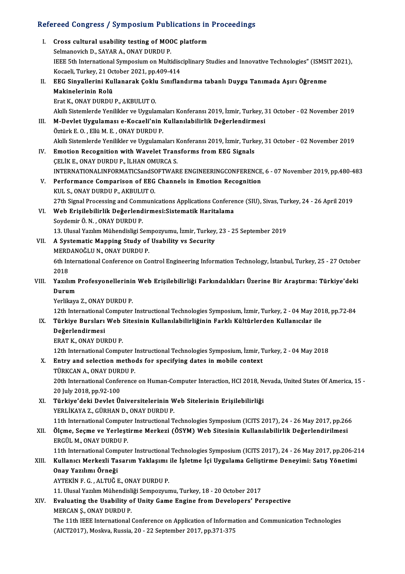# Refereed Congress / Symposium Publications in Proceedings

|       | Refereed Congress / Symposium Publications in Proceedings                                                     |
|-------|---------------------------------------------------------------------------------------------------------------|
| L.    | Cross cultural usability testing of MOOC platform                                                             |
|       | Selmanovich D., SAYAR A., ONAY DURDU P.                                                                       |
|       | IEEE 5th International Symposium on Multidisciplinary Studies and Innovative Technologies" (ISMSIT 2021),     |
|       | Kocaeli, Turkey, 21 October 2021, pp.409-414                                                                  |
| Н.    | EEG Sinyallerini Kullanarak Çoklu Sınıflandırma tabanlı Duygu Tanımada Aşırı Öğrenme                          |
|       | Makinelerinin Rolü                                                                                            |
|       | Erat K., ONAY DURDU P., AKBULUT O.                                                                            |
|       | Akıllı Sistemlerde Yenilikler ve Uygulamaları Konferansı 2019, İzmir, Turkey, 31 October - 02 November 2019   |
| III.  | M-Devlet Uygulaması e-Kocaeli'nin Kullanılabilirlik Değerlendirmesi                                           |
|       | Öztürk E.O., Ellü M.E., ONAY DURDU P.                                                                         |
|       | Akıllı Sistemlerde Yenilikler ve Uygulamaları Konferansı 2019, İzmir, Turkey, 31 October - 02 November 2019   |
| IV.   | Emotion Recognition with Wavelet Transforms from EEG Signals                                                  |
|       | ÇELİK E., ONAY DURDU P., İLHAN OMURCA S.                                                                      |
|       | INTERNATIONALINFORMATICSandSOFTWARE ENGINEERINGCONFERENCE, 6 - 07 November 2019, pp.480-483                   |
| V.    | Performance Comparison of EEG Channels in Emotion Recognition                                                 |
|       | KUL S., ONAY DURDU P., AKBULUT O.                                                                             |
|       | 27th Signal Processing and Communications Applications Conference (SIU), Sivas, Turkey, 24 - 26 April 2019    |
| VI.   | Web Erişilebilirlik Değerlendirmesi:Sistematik Haritalama                                                     |
|       | Soydemir Ö. N., ONAY DURDU P.                                                                                 |
|       | 13. Ulusal Yazılım Mühendisligi Sempozyumu, İzmir, Turkey, 23 - 25 September 2019                             |
| VII.  | A Systematic Mapping Study of Usability vs Security<br>MERDANOĞLU N., ONAY DURDU P.                           |
|       | 6th International Conference on Control Engineering Information Technology, İstanbul, Turkey, 25 - 27 October |
|       | 2018                                                                                                          |
| VIII. | Yazılım Profesyonellerinin Web Erişilebilirliği Farkındalıkları Üzerine Bir Araştırma: Türkiye'deki           |
|       | Durum                                                                                                         |
|       | Yerlikaya Z, ONAY DURDU P.                                                                                    |
|       | 12th International Computer Instructional Technologies Symposium, İzmir, Turkey, 2 - 04 May 2018, pp.72-84    |
| IX.   | Türkiye Bursları Web Sitesinin Kullanılabilirliğinin Farklı Kültürlerden Kullanıcılar ile                     |
|       | Değerlendirmesi                                                                                               |
|       | ERAT K, ONAY DURDU P.                                                                                         |
|       | 12th International Computer Instructional Technologies Symposium, İzmir, Turkey, 2 - 04 May 2018              |
| X.    | Entry and selection methods for specifying dates in mobile context                                            |
|       | TÜRKCAN A., ONAY DURDU P.                                                                                     |
|       | 20th International Conference on Human-Computer Interaction, HCI 2018, Nevada, United States Of America, 15 - |
|       | 20 July 2018, pp 92-100<br>Türkiye'deki Devlet Üniversitelerinin Web Sitelerinin Erişilebilirliği             |
| XI.   | YERLİKAYA Z., GÜRHAN D., ONAY DURDU P.                                                                        |
|       | 11th International Computer Instructional Technologies Symposium (ICITS 2017), 24 - 26 May 2017, pp.266       |
| XII.  | Ölçme, Seçme ve Yerleştirme Merkezi (ÖSYM) Web Sitesinin Kullanılabilirlik Değerlendirilmesi                  |
|       | ERGÜL M., ONAY DURDU P.                                                                                       |
|       | 11th International Computer Instructional Technologies Symposium (ICITS 2017), 24 - 26 May 2017, pp.206-214   |
| XIII. | Kullanıcı Merkezli Tasarım Yaklaşımı ile İşletme İçi Uygulama Geliştirme Deneyimi: Satış Yönetimi             |
|       | Onay Yazılımı Örneği                                                                                          |
|       | AYTEKIN F. G., ALTUĞ E., ONAY DURDU P.                                                                        |
|       | 11. Ulusal Yazılım Mühendisliği Sempozyumu, Turkey, 18 - 20 October 2017                                      |
| XIV.  | Evaluating the Usability of Unity Game Engine from Developers' Perspective                                    |
|       | MERCAN \$, ONAY DURDU P.                                                                                      |
|       | The 11th IEEE International Conference on Application of Information and Communication Technologies           |
|       | (AICT2017), Moskva, Russia, 20 - 22 September 2017, pp.371-375                                                |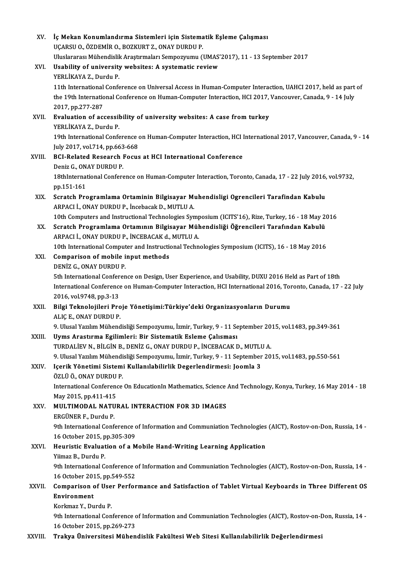| XV.     | İç Mekan Konumlandırma Sistemleri için Sistematik Eşleme Çalışması                                             |
|---------|----------------------------------------------------------------------------------------------------------------|
|         | UÇARSU O., ÖZDEMİR O., BOZKURT Z., ONAY DURDU P.                                                               |
|         | Uluslararası Mühendislik Araştırmaları Sempozyumu (UMAS'2017), 11 - 13 September 2017                          |
| XVI.    | Usability of university websites: A systematic review                                                          |
|         | YERLİKAYA Z., Durdu P.                                                                                         |
|         | 11th International Conference on Universal Access in Human-Computer Interaction, UAHCI 2017, held as part of   |
|         | the 19th International Conference on Human-Computer Interaction, HCI 2017, Vancouver, Canada, 9 - 14 July      |
|         | 2017, pp 277-287                                                                                               |
| XVII.   | Evaluation of accessibility of university websites: A case from turkey                                         |
|         | YERLİKAYA Z., Durdu P.                                                                                         |
|         | 19th International Conference on Human-Computer Interaction, HCI International 2017, Vancouver, Canada, 9 - 14 |
|         | July 2017, vol 714, pp 663-668                                                                                 |
| XVIII.  | <b>BCI-Related Research Focus at HCI International Conference</b>                                              |
|         | Deniz G., ONAY DURDU P.                                                                                        |
|         | 18thInternational Conference on Human-Computer Interaction, Toronto, Canada, 17 - 22 July 2016, vol.9732,      |
|         | pp 151-161                                                                                                     |
| XIX.    | Scratch Programlama Ortaminin Bilgisayar Muhendisligi Ogrencileri Tarafindan Kabulu                            |
|         | ARPACI İ., ONAY DURDU P., İncebacak D., MUTLU A.                                                               |
|         | 10th Computers and Instructional Technologies Symposium (ICITS'16), Rize, Turkey, 16 - 18 May 2016             |
| XX.     | Scratch Programlama Ortamının Bilgisayar Mühendisliği Öğrencileri Tarafından Kabulü                            |
|         | ARPACI İ., ONAY DURDU P., İNCEBACAK d., MUTLU A.                                                               |
|         | 10th International Computer and Instructional Technologies Symposium (ICITS), 16 - 18 May 2016                 |
| XXI.    | Comparison of mobile input methods                                                                             |
|         | DENIZ G., ONAY DURDU P.                                                                                        |
|         | 5th International Conference on Design, User Experience, and Usability, DUXU 2016 Held as Part of 18th         |
|         | International Conference on Human-Computer Interaction, HCI International 2016, Toronto, Canada, 17 - 22 July  |
|         | 2016, vol 9748, pp 3-13                                                                                        |
| XXII.   | Bilgi Teknolojileri Proje Yönetişimi:Türkiye'deki Organizasyonların Durumu                                     |
|         | ALIC E. ONAY DURDU P.                                                                                          |
|         | 9. Ulusal Yazılım Mühendisliği Sempozyumu, İzmir, Turkey, 9 - 11 September 2015, vol.1483, pp.349-361          |
| XXIII.  | Uyms Arastırma Egilimleri: Bir Sistematik Esleme Çalısması                                                     |
|         | TURDALIEV N., BILGIN B., DENIZ G., ONAY DURDU P., INCEBACAK D., MUTLU A.                                       |
|         | 9. Ulusal Yazılım Mühendisliği Sempozyumu, İzmir, Turkey, 9 - 11 September 2015, vol.1483, pp.550-561          |
| XXIV.   | Içerik Yönetimi Sistemi Kullanılabilirlik Degerlendirmesi: Joomla 3                                            |
|         | ÖZLÜ Ö., ONAY DURDU P.                                                                                         |
|         | International Conference On EducationIn Mathematics, Science And Technology, Konya, Turkey, 16 May 2014 - 18   |
|         | May 2015, pp.411-415                                                                                           |
| XXV.    | MULTIMODAL NATURAL INTERACTION FOR 3D IMAGES                                                                   |
|         | ERGÜNER F., Durdu P.                                                                                           |
|         | 9th International Conference of Information and Communiation Technologies (AICT), Rostov-on-Don, Russia, 14 -  |
|         | 16 October 2015, pp.305-309                                                                                    |
| XXVI.   | Heuristic Evaluation of a Mobile Hand-Writing Learning Application                                             |
|         | Yiimaz B., Durdu P.                                                                                            |
|         | 9th International Conference of Information and Communiation Technologies (AICT), Rostov-on-Don, Russia, 14 -  |
|         | 16 October 2015, pp.549-552                                                                                    |
| XXVII.  | Comparison of User Performance and Satisfaction of Tablet Virtual Keyboards in Three Different OS              |
|         | Environment<br>Korkmaz Y, Durdu P.                                                                             |
|         | 9th International Conference of Information and Communiation Technologies (AICT), Rostov-on-Don, Russia, 14 -  |
|         | 16 October 2015, pp.269-273                                                                                    |
| XXVIII. | Trakya Üniversitesi Mühendislik Fakültesi Web Sitesi Kullanılabilirlik Değerlendirmesi                         |
|         |                                                                                                                |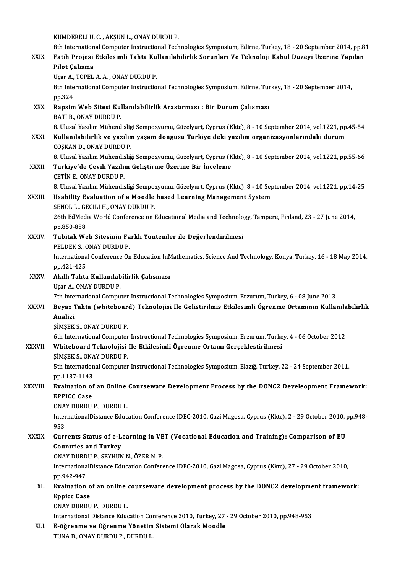KUMDERELİÜ.C. ,AKŞUNL.,ONAYDURDUP.

KUMDERELİ Ü. C. , AKŞUN L., ONAY DURDU P.<br>8th International Computer Instructional Technologies Symposium, Edirne, Turkey, 18 - 20 September 2014, pp.81<br>Eatih Proieci Ethilogimli Tabta Kullapılabilirlik Sanunları Ve Teknol KUMDERELİ Ü. C. , AKŞUN L., ONAY DURDU P.<br>8th International Computer Instructional Technologies Symposium, Edirne, Turkey, 18 - 20 September 2014, pp.8<br>8XIX. Fatih Projesi Etkilesimli Tahta Kullanılabilirlik Sorunları 8th Internation<br>Fatih Projesi<br>Pilot Çalısma<br>Hear A. TOPEL Fatih Projesi Etkilesimli Tahta Ku<br>Pilot Çalısma<br>Uçar A., TOPEL A.A. , ONAY DURDU P.<br><sup>9th Intornational Computer Instructio</sup>

Uçar A., TOPEL A. A., ONAY DURDU P.

8th International<br>A., Topel A. A., ONAY DURDU P.<br>8th International Computer Instructional Technologies Symposium, Edirne, Turkey, 18 - 20 September 2014,<br>pp.324 8th International Computer Instructional Technologies Symposium, Edirne, Tur<br>pp.324<br>XXX. Rapsim Web Sitesi Kullanılabilirlik Arastırması : Bir Durum Çalısması<br>PATI P. ONAY DUPDU P

pp.324<br><mark>Rapsim Web Sitesi Kul</mark><br>BATI B., ONAY DURDU P.<br>8. Ulusel Yazılım Mühand 8.BATI B., ONAY DURDU P.<br>8. Ulusal Yazılım Mühendisligi Sempozyumu, Güzelyurt, Cyprus (Kktc), 8 - 10 September 2014, vol.1221, pp.45-54

BATI B., ONAY DURDU P.<br>8. Ulusal Yazılım Mühendisligi Sempozyumu, Güzelyurt, Cyprus (Kktc), 8 - 10 September 2014, vol.1221, pp.<br>8. Kullanılabilirlik ve yazılım yaşam döngüsü Türkiye deki yazılım organizasyonlarındaki duru 8. Ulusal Yazılım Mühendislig<br>Kullanılabilirlik ve yazılın<br>COŞKAN D., ONAY DURDU P.<br>8. Ulusal Yazılım Mühandisliğ Kullanılabilirlik ve yazılım yaşam döngüsü Türkiye deki yazılım organizasyonlarındaki durum<br>COŞKAN D., ONAY DURDU P.<br>8. Ulusal Yazılım Mühendisliği Sempozyumu, Güzelyurt, Cyprus (Kktc), 8 - 10 September 2014, vol.1221, pp.

COŞKAN D., ONAY DURDU P.<br>8. Ulusal Yazılım Mühendisliği Sempozyumu, Güzelyurt, Cyprus (K<br>XXXII. Türkiye'de Çevik Yazılım Geliştirme Üzerine Bir İnceleme<br>CETİN E. ONAY DURDU B. 8. Ulusal Yazılım Mühendis<br>Türkiye'de Çevik Yazılıı<br>ÇETİN E., ONAY DURDU P.<br>8. Ulusal Yazılım Mühandis 8.UlusalYazılımMühendisligiSempozyumu,Güzelyurt,Cyprus (Kktc),8 -10 September 2014,vol.1221,pp.14-25 CETIN E., ONAY DURDU P.<br>8. Ulusal Yazılım Mühendisligi Sempozyumu, Güzelyurt, Cyprus (Kktc), 8 - 10 Sep<br>XXXIII. Usability Evaluation of a Moodle based Learning Management System<br>SENOL L. CECILLY, ONAY DURDU P.

## 8. Ulusal Yazılım Mühendisligi Sempo:<br>Usability Evaluation of a Moodle<br>ŞENOL L., GEÇİLİ H., ONAY DURDU P.<br>26th EdMedia World Conference en l

Usability Evaluation of a Moodle based Learning Management System<br>ŞENOL L., GEÇİLİ H., ONAY DURDU P.<br>26th EdMedia World Conference on Educational Media and Technology, Tampere, Finland, 23 - 27 June 2014,<br>nn 950,959 **ŞENOL L., GI<br>26th EdMed<br>pp.850-858<br>Tubitak Wa** 26th EdMedia World Conference on Educational Media and Technolo<br>pp.850-858<br>XXXIV. Tubitak Web Sitesinin Farklı Yöntemler ile Değerlendirilmesi<br>pel DEK S. ONAX DUPDU P

pp.850-858<br>Tubitak Web Sitesinin Farklı Yöntemler ile Değerlendirilmesi<br>PELDEK S., ONAY DURDU P.

Tubitak Web Sitesinin Farklı Yöntemler ile Değerlendirilmesi<br>PELDEK S., ONAY DURDU P.<br>International Conference On Education InMathematics, Science And Technology, Konya, Turkey, 16 - 18 May 2014,<br>nn 421 425 PELDEK S., C<br>Internationa<br>pp.421-425<br>Abili Tabta International Conference On Education In<br>pp.421-425<br>XXXV. Akıllı Tahta Kullanılabilirlik Çalısması<br>USSE A. ONAV DUBDU B

pp.421-425<br>**Akıllı Tahta Kullanılabilirlik Çalısması**<br>Uçar A., ONAY DURDU P.

Akıllı Tahta Kullanılabilirlik Çalısması<br>Uçar A., ONAY DURDU P.<br>7th International Computer Instructional Technologies Symposium, Erzurum, Turkey, 6 - 08 June 2013<br>Royaz Tahta (urbitabaard) Taknolojisi Ila Calistinilmia Etk

### Uçar A., ONAY DURDU P.<br>7th International Computer Instructional Technologies Symposium, Erzurum, Turkey, 6 - 08 June 2013<br>XXXVI. Beyaz Tahta (whiteboard) Teknolojisi Ile Gelistirilmis Etkilesimli Ögrenme Ortamının Kull 7th Inte<br>Beyaz<br>Analizi<br>siMSEK Beyaz Tahta (whiteboar<br>Analizi<br>ŞİMŞEK S., ONAY DURDU P.<br>Eth International Computer Analizi<br>ŞİMŞEK S., ONAY DURDU P.<br>6th International Computer Instructional Technologies Symposium, Erzurum, Turkey, 4 - 06 October 2012

## ŞİMŞEK S., ONAY DURDU P.<br>6th International Computer Instructional Technologies Symposium, Erzurum, Turke<br>XXXVII. Whiteboard Teknolojisi Ile Etkilesimli Ögrenme Ortamı Gerçeklestirilmesi<br>SiMSEK S. ONAY DUPDU P. 6th International Computer<br>Whiteboard Teknolojisi<br>ŞİMŞEK S., ONAY DURDU P.<br>Eth International Computer

SIMSEK S., ONAY DURDU P.

5th International Computer Instructional Technologies Symposium, Elazığ, Turkey, 22 - 24 September 2011, pp.1137-1143 5th International Computer Instructional Technologies Symposium, Elaziğ, Turkey, 22 - 24 September 2011,<br>pp.1137-1143<br>XXXVIII. Evaluation of an Online Courseware Development Process by the DONC2 Develeopment Framework:

## pp.1137-1143<br>Evaluation of<br>EPPICC Case<br>ONAV DUPDU Evaluation of an Online<br>EPPICC Case<br>ONAY DURDU P., DURDU L.<br>InternationalDistance Educ

EPPICC Case<br>ONAY DURDU P., DURDU L.<br>InternationalDistance Education Conference IDEC-2010, Gazi Magosa, Cyprus (Kktc), 2 - 29 October 2010, pp.948-<br>953 ONA<br>Inter<br>953<br>Curr InternationalDistance Education Conference IDEC-2010, Gazi Magosa, Cyprus (Kktc), 2 - 29 October 2010, 1<br>953<br>XXXIX. Currents Status of e-Learning in VET (Vocational Education and Training): Comparison of EU

## 953<br>Currents Status of e-L<br>Countries and Turkey<br>ONAV DUPDU P. SEVUUN Currents Status of e-Learning in VE<br>Countries and Turkey<br>ONAY DURDU P., SEYHUN N., ÖZER N. P.<br>InternationalDistance Education Conform

ONAY DURDU P., SEYHUN N., ÖZER N. P.

Countries and Turkey<br>ONAY DURDU P., SEYHUN N., ÖZER N. P.<br>InternationalDistance Education Conference IDEC-2010, Gazi Magosa, Cyprus (Kktc), 27 - 29 October 2010,<br>pp.942-947 InternationalDistance Education Conference IDEC-2010, Gazi Magosa, Cyprus (Kktc), 27 - 29 October 2010,<br>pp.942-947<br>XL. Evaluation of an online courseware development process by the DONC2 development framework:<br>Fanise Case

### pp.942-947<br>Evaluation o<br>Eppicc Case<br>ONAY DUPDU Evaluation of an online<br>Eppicc Case<br>ONAY DURDU P., DURDU L.<br>International Distance Educ Eppicc Case<br>ONAY DURDU P., DURDU L.<br>International Distance Education Conference 2010, Turkey, 27 - 29 October 2010, pp.948-953

XLI. E-öğrenme ve Öğrenme Yönetim Sistemi Olarak Moodle TUNAB.,ONAYDURDUP.,DURDUL.